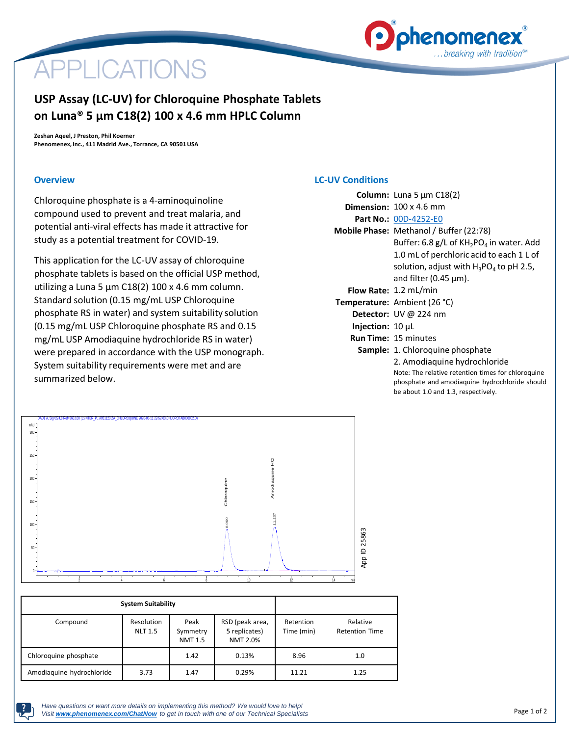

# **APPLICATIONS**

# **USP Assay (LC-UV) for Chloroquine Phosphate Tablets on Luna® 5 µm C18(2) 100 x 4.6 mm HPLC Column**

**Zeshan Aqeel, J Preston, Phil Koerner Phenomenex, Inc., 411 Madrid Ave., Torrance, CA 90501 USA**

### **Overview**

Chloroquine phosphate is a 4-aminoquinoline compound used to prevent and treat malaria, and potential anti-viral effects has made it attractive for study as a potential treatment for COVID-19.

This application for the LC-UV assay of chloroquine phosphate tablets is based on the official USP method, utilizing a Luna 5 µm C18(2) 100 x 4.6 mm column. Standard solution (0.15 mg/mL USP Chloroquine phosphate RS in water) and system suitability solution (0.15 mg/mL USP Chloroquine phosphate RS and 0.15 mg/mL USP Amodiaquine hydrochloride RS in water) were prepared in accordance with the USP monograph. System suitability requirements were met and are summarized below.

## **LC-UV Conditions**

|                              | <b>Column:</b> Luna 5 $\mu$ m C18(2)                                                                 |  |  |  |  |
|------------------------------|------------------------------------------------------------------------------------------------------|--|--|--|--|
|                              | <b>Dimension:</b> $100 \times 4.6$ mm                                                                |  |  |  |  |
|                              | Part No.: 00D-4252-E0                                                                                |  |  |  |  |
|                              | Mobile Phase: Methanol / Buffer (22:78)                                                              |  |  |  |  |
|                              | Buffer: 6.8 g/L of $KH_{2}PO_{4}$ in water. Add                                                      |  |  |  |  |
|                              | 1.0 mL of perchloric acid to each 1 L of                                                             |  |  |  |  |
|                              | solution, adjust with $H_3PO_4$ to pH 2.5,                                                           |  |  |  |  |
|                              | and filter (0.45 $\mu$ m).                                                                           |  |  |  |  |
|                              | <b>Flow Rate: 1.2 mL/min</b>                                                                         |  |  |  |  |
|                              | Temperature: Ambient (26 °C)                                                                         |  |  |  |  |
|                              | <b>Detector:</b> UV @ 224 nm                                                                         |  |  |  |  |
| <b>Injection:</b> $10 \mu L$ |                                                                                                      |  |  |  |  |
|                              | <b>Run Time: 15 minutes</b>                                                                          |  |  |  |  |
|                              | <b>Sample:</b> 1. Chloroquine phosphate                                                              |  |  |  |  |
|                              | 2. Amodiaguine hydrochloride                                                                         |  |  |  |  |
|                              | Note: The relative retention times for chloroquine<br>phosphate and amodiaquine hydrochloride should |  |  |  |  |

be about 1.0 and 1.3, respectively.



| <b>System Suitability</b> |                              |                                    |                                                     |                         |                                   |
|---------------------------|------------------------------|------------------------------------|-----------------------------------------------------|-------------------------|-----------------------------------|
| Compound                  | Resolution<br><b>NLT 1.5</b> | Peak<br>Symmetry<br><b>NMT 1.5</b> | RSD (peak area,<br>5 replicates)<br><b>NMT 2.0%</b> | Retention<br>Time (min) | Relative<br><b>Retention Time</b> |
| Chloroquine phosphate     |                              | 1.42                               | 0.13%                                               | 8.96                    | 1.0                               |
| Amodiaguine hydrochloride | 3.73                         | 1.47                               | 0.29%                                               | 11.21                   | 1.25                              |